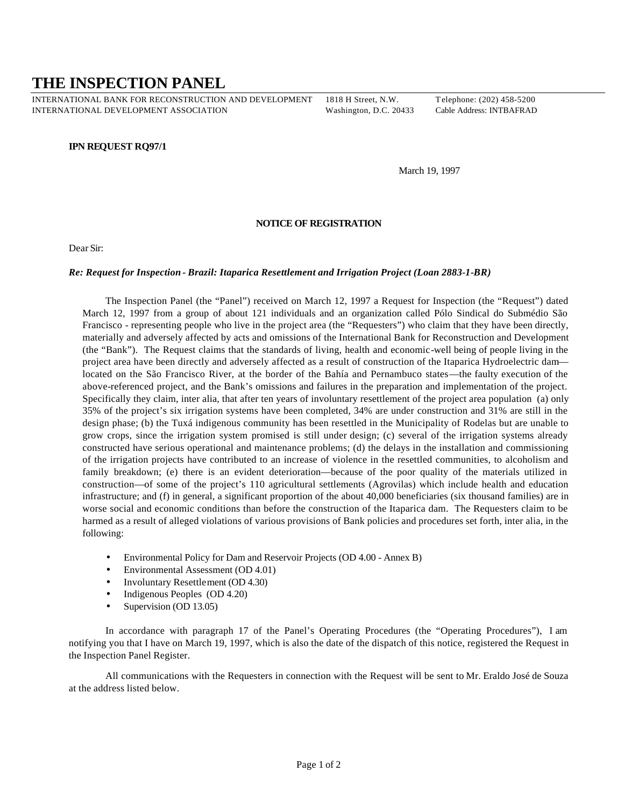## **THE INSPECTION PANEL**

INTERNATIONAL BANK FOR RECONSTRUCTION AND DEVELOPMENT 1818 H Street, N.W. Telephone: (202) 458-5200 INTERNATIONAL DEVELOPMENT ASSOCIATION Washington, D.C. 20433 Cable Address: INTBAFRAD

## **IPN REQUEST RQ97/1**

March 19, 1997

## **NOTICE OF REGISTRATION**

Dear Sir:

## *Re: Request for Inspection - Brazil: Itaparica Resettlement and Irrigation Project (Loan 2883-1-BR)*

The Inspection Panel (the "Panel") received on March 12, 1997 a Request for Inspection (the "Request") dated March 12, 1997 from a group of about 121 individuals and an organization called Pólo Sindical do Submédio São Francisco - representing people who live in the project area (the "Requesters") who claim that they have been directly, materially and adversely affected by acts and omissions of the International Bank for Reconstruction and Development (the "Bank"). The Request claims that the standards of living, health and economic-well being of people living in the project area have been directly and adversely affected as a result of construction of the Itaparica Hydroelectric dam located on the São Francisco River, at the border of the Bahía and Pernambuco states—the faulty execution of the above-referenced project, and the Bank's omissions and failures in the preparation and implementation of the project. Specifically they claim, inter alia, that after ten years of involuntary resettlement of the project area population (a) only 35% of the project's six irrigation systems have been completed, 34% are under construction and 31% are still in the design phase; (b) the Tuxá indigenous community has been resettled in the Municipality of Rodelas but are unable to grow crops, since the irrigation system promised is still under design; (c) several of the irrigation systems already constructed have serious operational and maintenance problems; (d) the delays in the installation and commissioning of the irrigation projects have contributed to an increase of violence in the resettled communities, to alcoholism and family breakdown; (e) there is an evident deterioration—because of the poor quality of the materials utilized in construction—of some of the project's 110 agricultural settlements (Agrovilas) which include health and education infrastructure; and (f) in general, a significant proportion of the about 40,000 beneficiaries (six thousand families) are in worse social and economic conditions than before the construction of the Itaparica dam. The Requesters claim to be harmed as a result of alleged violations of various provisions of Bank policies and procedures set forth, inter alia, in the following:

- Environmental Policy for Dam and Reservoir Projects (OD 4.00 Annex B)
- Environmental Assessment (OD 4.01)
- Involuntary Resettlement (OD 4.30)
- Indigenous Peoples (OD 4.20)
- Supervision (OD 13.05)

In accordance with paragraph 17 of the Panel's Operating Procedures (the "Operating Procedures"), I am notifying you that I have on March 19, 1997, which is also the date of the dispatch of this notice, registered the Request in the Inspection Panel Register.

All communications with the Requesters in connection with the Request will be sent to Mr. Eraldo José de Souza at the address listed below.